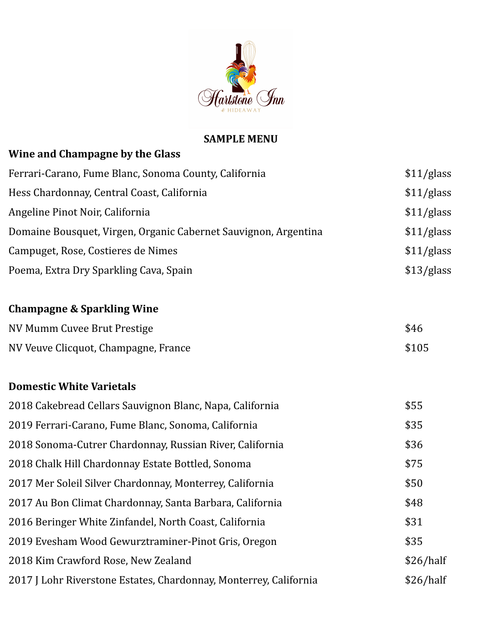

#### **SAMPLE MENU**

| Wine and Champagne by the Glass                                   |            |
|-------------------------------------------------------------------|------------|
| Ferrari-Carano, Fume Blanc, Sonoma County, California             | \$11/glass |
| Hess Chardonnay, Central Coast, California                        | \$11/glass |
| Angeline Pinot Noir, California                                   | \$11/glass |
| Domaine Bousquet, Virgen, Organic Cabernet Sauvignon, Argentina   | \$11/glass |
| Campuget, Rose, Costieres de Nimes                                | \$11/glass |
| Poema, Extra Dry Sparkling Cava, Spain                            | \$13/glass |
| <b>Champagne &amp; Sparkling Wine</b>                             |            |
| NV Mumm Cuvee Brut Prestige                                       | \$46       |
| NV Veuve Clicquot, Champagne, France                              | \$105      |
| <b>Domestic White Varietals</b>                                   |            |
| 2018 Cakebread Cellars Sauvignon Blanc, Napa, California          | \$55       |
| 2019 Ferrari-Carano, Fume Blanc, Sonoma, California               | \$35       |
| 2018 Sonoma-Cutrer Chardonnay, Russian River, California          | \$36       |
| 2018 Chalk Hill Chardonnay Estate Bottled, Sonoma                 | \$75       |
| 2017 Mer Soleil Silver Chardonnay, Monterrey, California          | \$50       |
| 2017 Au Bon Climat Chardonnay, Santa Barbara, California          | \$48       |
| 2016 Beringer White Zinfandel, North Coast, California            | \$31       |
| 2019 Evesham Wood Gewurztraminer-Pinot Gris, Oregon               | \$35       |
| 2018 Kim Crawford Rose, New Zealand                               | \$26/half  |
| 2017 J Lohr Riverstone Estates, Chardonnay, Monterrey, California | \$26/half  |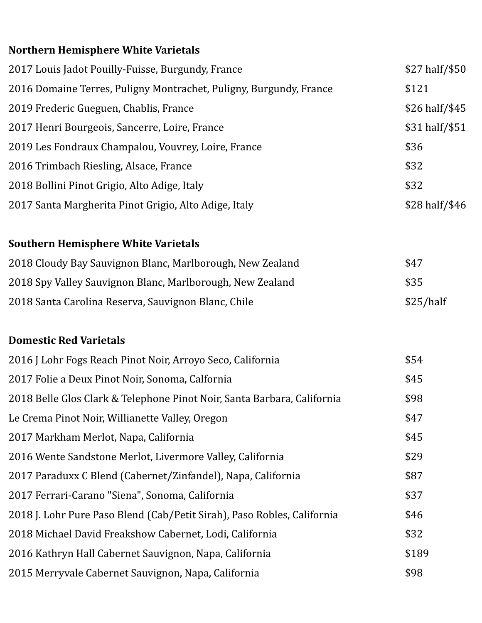# **Northern Hemisphere White Varietals**

| 2017 Louis Jadot Pouilly-Fuisse, Burgundy, France                  | \$27 half/\$50 |
|--------------------------------------------------------------------|----------------|
| 2016 Domaine Terres, Puligny Montrachet, Puligny, Burgundy, France | \$121          |
| 2019 Frederic Gueguen, Chablis, France                             | \$26 half/\$45 |
| 2017 Henri Bourgeois, Sancerre, Loire, France                      | \$31 half/\$51 |
| 2019 Les Fondraux Champalou, Vouvrey, Loire, France                | \$36           |
| 2016 Trimbach Riesling, Alsace, France                             | \$32           |
| 2018 Bollini Pinot Grigio, Alto Adige, Italy                       | \$32           |
| 2017 Santa Margherita Pinot Grigio, Alto Adige, Italy              | \$28 half/\$46 |
|                                                                    |                |
| <b>Southern Hemisphere White Varietals</b>                         |                |

| 2018 Cloudy Bay Sauvignon Blanc, Marlborough, New Zealand | \$47      |
|-----------------------------------------------------------|-----------|
| 2018 Spy Valley Sauvignon Blanc, Marlborough, New Zealand | \$35      |
| 2018 Santa Carolina Reserva, Sauvignon Blanc, Chile       | \$25/half |

## **Domestic Red Varietals**

| 2016 J Lohr Fogs Reach Pinot Noir, Arroyo Seco, California              | \$54  |
|-------------------------------------------------------------------------|-------|
| 2017 Folie a Deux Pinot Noir, Sonoma, Calfornia                         | \$45  |
| 2018 Belle Glos Clark & Telephone Pinot Noir, Santa Barbara, California | \$98  |
| Le Crema Pinot Noir, Willianette Valley, Oregon                         | \$47  |
| 2017 Markham Merlot, Napa, California                                   | \$45  |
| 2016 Wente Sandstone Merlot, Livermore Valley, California               | \$29  |
| 2017 Paraduxx C Blend (Cabernet/Zinfandel), Napa, California            | \$87  |
| 2017 Ferrari-Carano "Siena", Sonoma, California                         | \$37  |
| 2018 J. Lohr Pure Paso Blend (Cab/Petit Sirah), Paso Robles, California | \$46  |
| 2018 Michael David Freakshow Cabernet, Lodi, California                 | \$32  |
| 2016 Kathryn Hall Cabernet Sauvignon, Napa, California                  | \$189 |
| 2015 Merryvale Cabernet Sauvignon, Napa, California                     | \$98  |